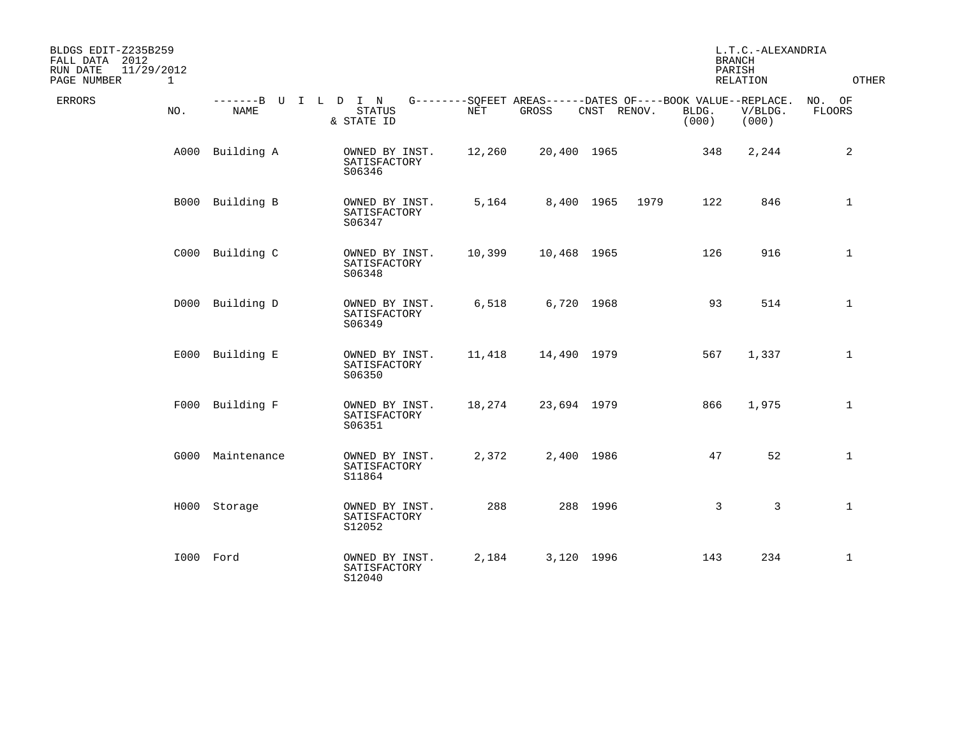| BLDGS EDIT-Z235B259<br>FALL DATA 2012<br>11/29/2012<br>RUN DATE<br>PAGE NUMBER<br>$\mathbf{1}$ |                                     |                                          |        |                                                                      |             |      | <b>BRANCH</b><br>PARISH | L.T.C.-ALEXANDRIA<br><b>RELATION</b> | <b>OTHER</b>            |
|------------------------------------------------------------------------------------------------|-------------------------------------|------------------------------------------|--------|----------------------------------------------------------------------|-------------|------|-------------------------|--------------------------------------|-------------------------|
| <b>ERRORS</b><br>NO.                                                                           | -------B U I L D I N<br><b>NAME</b> | <b>STATUS</b><br>& STATE ID              | NET    | G--------SQFEET AREAS------DATES OF----BOOK VALUE--REPLACE.<br>GROSS | CNST RENOV. |      | BLDG.<br>(000)          | V/BLDG.<br>(000)                     | NO. OF<br><b>FLOORS</b> |
| A000                                                                                           | Building A                          | OWNED BY INST.<br>SATISFACTORY<br>S06346 | 12,260 | 20,400 1965                                                          |             |      | 348                     | 2,244                                | 2                       |
|                                                                                                | B000 Building B                     | OWNED BY INST.<br>SATISFACTORY<br>S06347 | 5,164  | 8,400 1965                                                           |             | 1979 | 122                     | 846                                  | $\mathbf{1}$            |
|                                                                                                | C000 Building C                     | OWNED BY INST.<br>SATISFACTORY<br>S06348 | 10,399 | 10,468 1965                                                          |             |      | 126                     | 916                                  | $\mathbf{1}$            |
|                                                                                                | D000 Building D                     | OWNED BY INST.<br>SATISFACTORY<br>S06349 | 6,518  | 6,720 1968                                                           |             |      | 93                      | 514                                  | $\mathbf{1}$            |
|                                                                                                | E000 Building E                     | OWNED BY INST.<br>SATISFACTORY<br>S06350 | 11,418 | 14,490 1979                                                          |             |      | 567                     | 1,337                                | $\mathbf{1}$            |
|                                                                                                | F000 Building F                     | OWNED BY INST.<br>SATISFACTORY<br>S06351 | 18,274 | 23,694 1979                                                          |             |      | 866                     | 1,975                                | $\mathbf{1}$            |
|                                                                                                | G000 Maintenance                    | OWNED BY INST.<br>SATISFACTORY<br>S11864 | 2,372  | 2,400 1986                                                           |             |      | 47                      | 52                                   | $\mathbf 1$             |
|                                                                                                | H000 Storage                        | OWNED BY INST.<br>SATISFACTORY<br>S12052 | 288    |                                                                      | 288 1996    |      | $\mathbf{3}$            | 3                                    | $\mathbf{1}$            |
|                                                                                                | I000 Ford                           | OWNED BY INST.<br>SATISFACTORY<br>S12040 | 2,184  | 3,120 1996                                                           |             |      | 143                     | 234                                  | $\mathbf 1$             |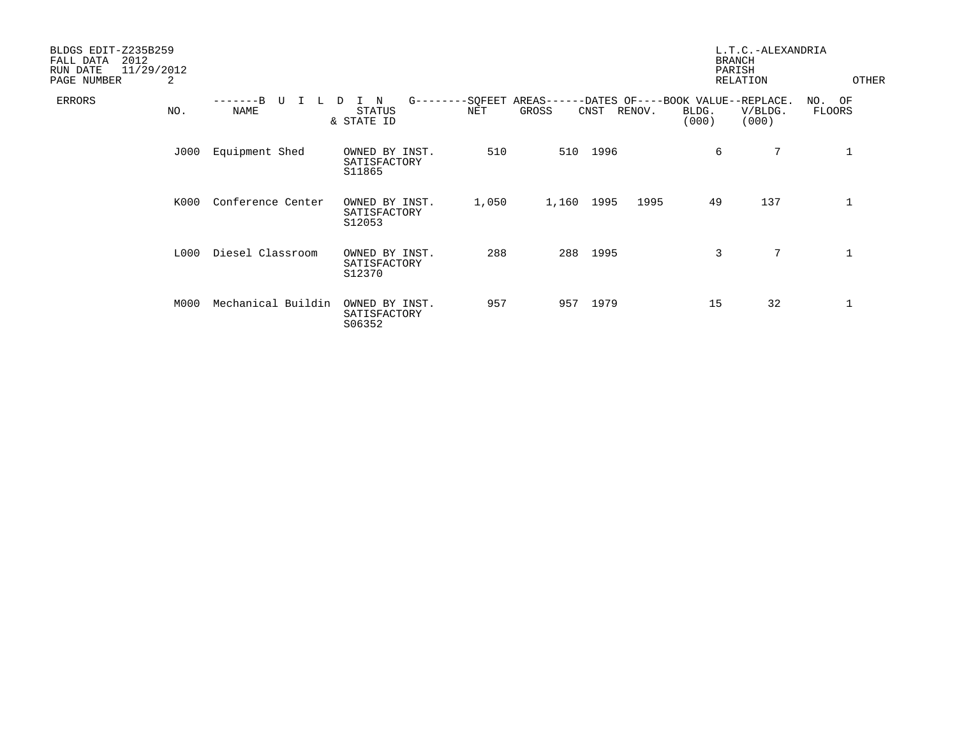| BLDGS EDIT-Z235B259<br>2012<br>FALL DATA<br>11/29/2012<br>RUN DATE<br>PAGE NUMBER | 2    |                    |                                               |                |                    |      |        | <b>BRANCH</b><br>PARISH | L.T.C.-ALEXANDRIA<br><b>RELATION</b>                  | OTHER               |  |
|-----------------------------------------------------------------------------------|------|--------------------|-----------------------------------------------|----------------|--------------------|------|--------|-------------------------|-------------------------------------------------------|---------------------|--|
| ERRORS                                                                            | NO.  | U<br><b>NAME</b>   | $G$ -------<br>N<br>D<br>STATUS<br>& STATE ID | -SQFEET<br>NET | AREAS----<br>GROSS | CNST | RENOV. | BLDG.<br>(000)          | -DATES OF----BOOK VALUE--REPLACE.<br>V/BLDG.<br>(000) | OF<br>NO.<br>FLOORS |  |
|                                                                                   | J000 | Equipment Shed     | OWNED BY INST.<br>SATISFACTORY<br>S11865      | 510            | 510                | 1996 |        | 6                       | 7                                                     | $\mathbf{1}$        |  |
|                                                                                   | K000 | Conference Center  | OWNED BY INST.<br>SATISFACTORY<br>S12053      | 1,050          | 1,160              | 1995 | 1995   | 49                      | 137                                                   | $\mathbf 1$         |  |
|                                                                                   | L000 | Diesel Classroom   | OWNED BY INST.<br>SATISFACTORY<br>S12370      | 288            | 288                | 1995 |        | 3                       | $7\phantom{.0}$                                       | $\mathbf 1$         |  |
|                                                                                   | M000 | Mechanical Buildin | OWNED BY INST.<br>SATISFACTORY<br>S06352      | 957            | 957                | 1979 |        | 15                      | 32                                                    | 1                   |  |